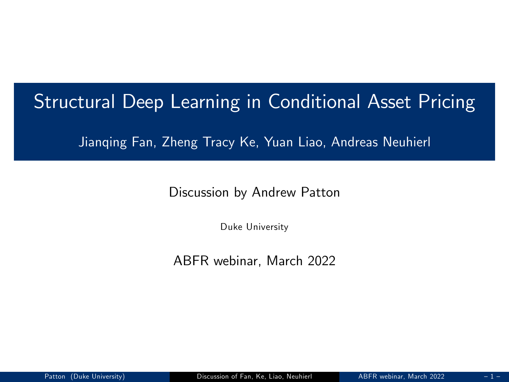### Structural Deep Learning in Conditional Asset Pricing

Jianqing Fan, Zheng Tracy Ke, Yuan Liao, Andreas Neuhierl

Discussion by Andrew Patton

<span id="page-0-0"></span>Duke University

ABFR webinar, March 2022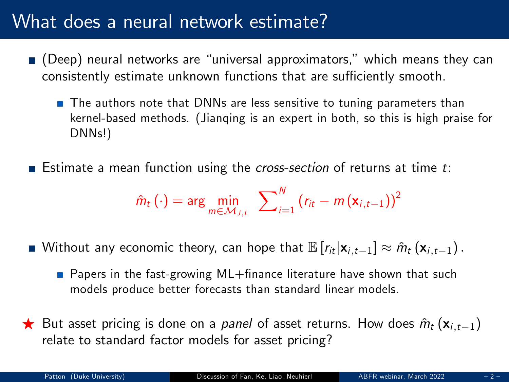## What does a neural network estimate?

- $\blacksquare$  (Deep) neural networks are "universal approximators," which means they can consistently estimate unknown functions that are sufficiently smooth.
	- The authors note that DNNs are less sensitive to tuning parameters than kernel-based methods. (Jianqing is an expert in both, so this is high praise for DNNs!)
- **Example 3** Estimate a mean function using the *cross-section* of returns at time  $t$ :

$$
\hat{m}_t(\cdot) = \arg\min_{m \in \mathcal{M}_{J,t}} \sum_{i=1}^N (r_{it} - m(\mathbf{x}_{i,t-1}))^2
$$

- Without any economic theory, can hope that  $\mathbb{E}[r_{it}|\mathbf{x}_{i,t-1}] \approx \hat{m}_t (\mathbf{x}_{i,t-1})$ .
	- **Papers in the fast-growing ML+finance literature have shown that such** models produce better forecasts than standard linear models.
- $\bigstar$  But asset pricing is done on a *panel* of asset returns. How does  $\hat{m}_t (\mathbf{x}_{i,t-1})$ relate to standard factor models for asset pricing?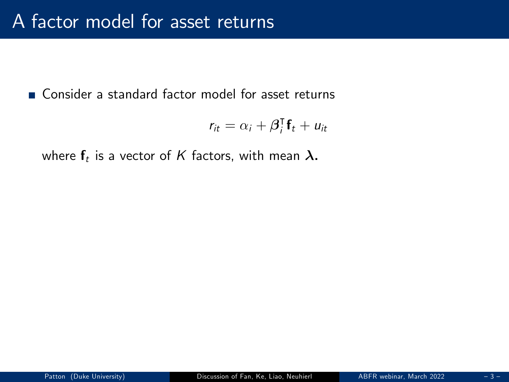■ Consider a standard factor model for asset returns

$$
r_{it} = \alpha_i + \beta_i^{\mathsf{T}} \mathbf{f}_t + u_{it}
$$

where  $\mathsf{f}_t$  is a vector of  $K$  factors, with mean  $\bm{\lambda}.$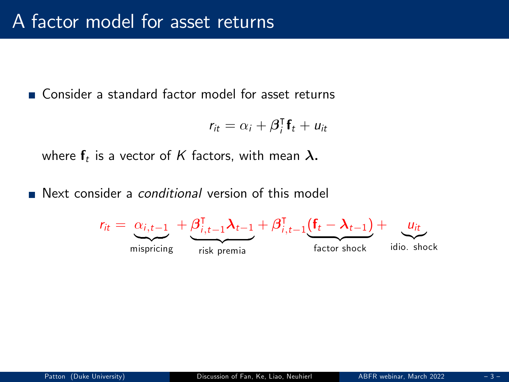Consider a standard factor model for asset returns

$$
r_{it} = \alpha_i + \beta_i^{\mathsf{T}} \mathbf{f}_t + u_{it}
$$

where  $\mathsf{f}_t$  is a vector of  $K$  factors, with mean  $\bm{\lambda}.$ 

Next consider a *conditional* version of this model

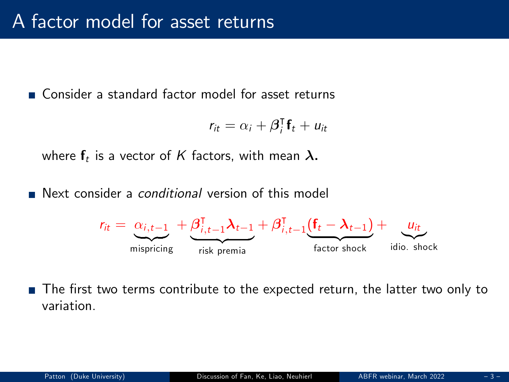Consider a standard factor model for asset returns

$$
r_{it} = \alpha_i + \beta_i^{\mathsf{T}} \mathbf{f}_t + u_{it}
$$

where  $\mathsf{f}_t$  is a vector of  $K$  factors, with mean  $\bm{\lambda}.$ 

Next consider a *conditional* version of this model



The first two terms contribute to the expected return, the latter two only to variation.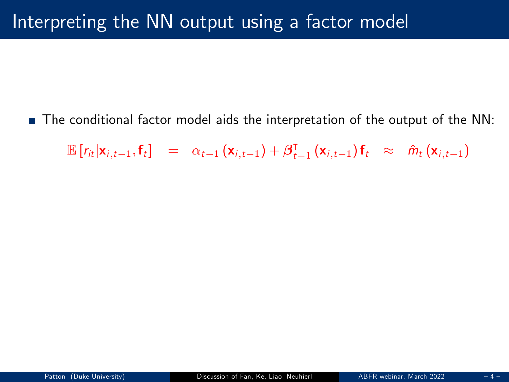■ The conditional factor model aids the interpretation of the output of the NN:

 $\mathbb{E}\left[r_{it}|\mathbf{x}_{i,t-1},\mathbf{f}_t\right] = \alpha_{t-1}(\mathbf{x}_{i,t-1}) + \beta_{t-1}^{\mathsf{T}}(\mathbf{x}_{i,t-1})\mathbf{f}_t \approx \hat{m}_t(\mathbf{x}_{i,t-1})$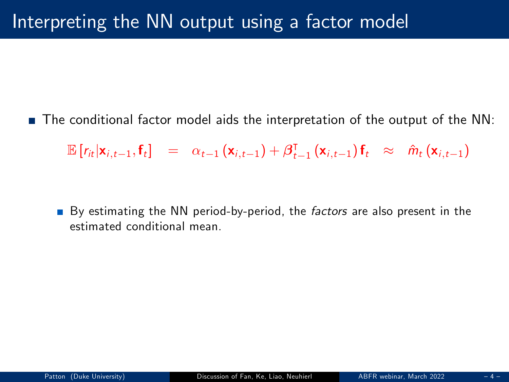■ The conditional factor model aids the interpretation of the output of the NN:

 $\mathbb{E}\left[r_{it}|\mathbf{x}_{i,t-1},\mathbf{f}_t\right] = \alpha_{t-1}(\mathbf{x}_{i,t-1}) + \beta_{t-1}^{\mathsf{T}}(\mathbf{x}_{i,t-1})\mathbf{f}_t \approx \hat{m}_t(\mathbf{x}_{i,t-1})$ 

By estimating the NN period-by-period, the *factors* are also present in the estimated conditional mean.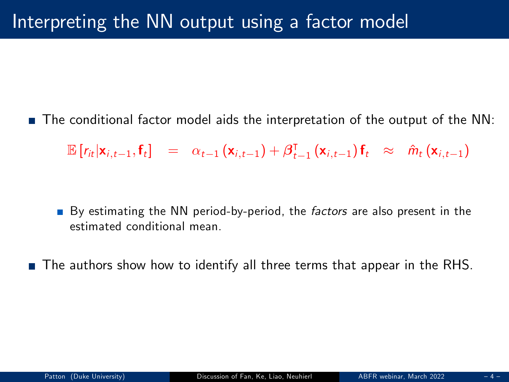■ The conditional factor model aids the interpretation of the output of the NN:

 $\mathbb{E}\left[r_{it}|\mathbf{x}_{i,t-1},\mathbf{f}_t\right] = \alpha_{t-1}(\mathbf{x}_{i,t-1}) + \beta_{t-1}^{\mathsf{T}}(\mathbf{x}_{i,t-1})\mathbf{f}_t \approx \hat{m}_t(\mathbf{x}_{i,t-1})$ 

By estimating the NN period-by-period, the *factors* are also present in the estimated conditional mean.

■ The authors show how to identify all three terms that appear in the RHS.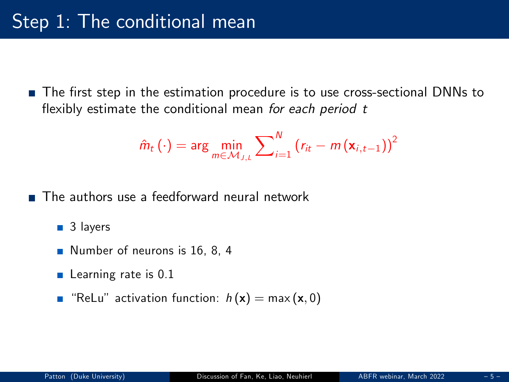The first step in the estimation procedure is to use cross-sectional DNNs to flexibly estimate the conditional mean for each period t

$$
\hat{m}_t\left(\cdot\right) = \arg\min_{m \in \mathcal{M}_{J,L}} \sum\nolimits_{i=1}^{N} \left(r_{it} - m\left(\mathbf{x}_{i,t-1}\right)\right)^2
$$

The authors use a feedforward neural network

 $\blacksquare$  3 layers

- Number of neurons is 16, 8, 4
- $\blacksquare$  Learning rate is 0.1
- **Relu** activation function:  $h(\mathbf{x}) = \max(\mathbf{x}, 0)$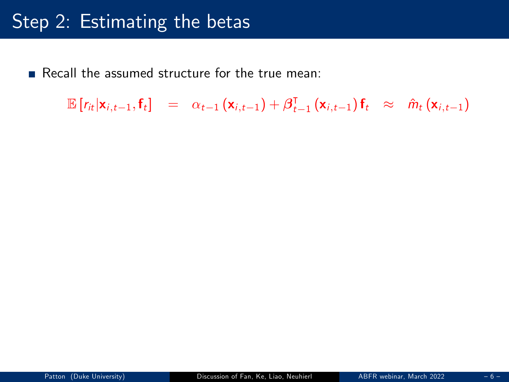Recall the assumed structure for the true mean:

 $\mathbb{E}\left[r_{it}|\mathbf{x}_{i,t-1},\mathbf{f}_t\right] = \alpha_{t-1}(\mathbf{x}_{i,t-1}) + \beta_{t-1}^{\mathsf{T}}(\mathbf{x}_{i,t-1})\mathbf{f}_t \approx \hat{m}_t(\mathbf{x}_{i,t-1})$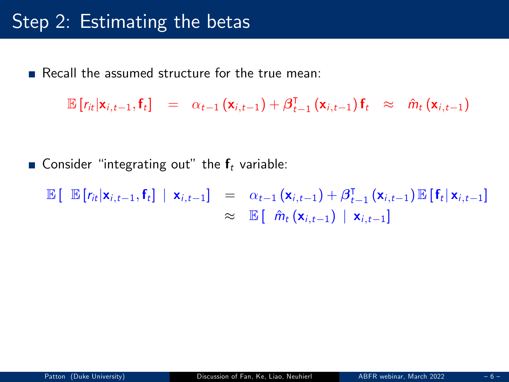Recall the assumed structure for the true mean:

 $\mathbb{E}[r_{it}|\mathbf{x}_{i,t-1},\mathbf{f}_t] = \alpha_{t-1}(\mathbf{x}_{i,t-1}) + \beta_{t-1}^{\mathsf{T}}(\mathbf{x}_{i,t-1})\mathbf{f}_t \approx \hat{m}_t(\mathbf{x}_{i,t-1})$ 

**Consider** "integrating out" the  $f_t$  variable:

 $\mathbb{E}\left[\mathbb{E}\left[r_{it}|\mathbf{x}_{i,t-1},\mathbf{f}_t\right] \mid \mathbf{x}_{i,t-1}\right] = \alpha_{t-1}\left(\mathbf{x}_{i,t-1}\right) + \beta_{t-1}^{\mathsf{T}}\left(\mathbf{x}_{i,t-1}\right) \mathbb{E}\left[\mathbf{f}_t|\mathbf{x}_{i,t-1}\right]$  $\approx$   $\mathbb{E} \left[ \hat{m}_t(\mathbf{x}_{i,t-1}) \mid \mathbf{x}_{i,t-1} \right]$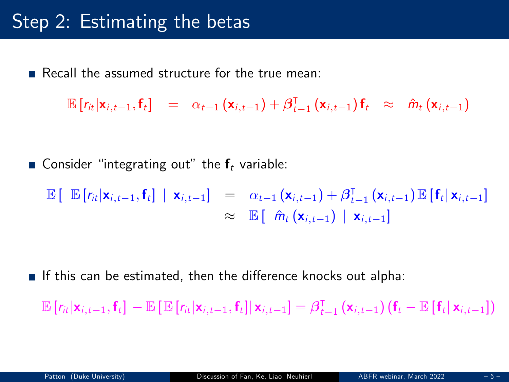Recall the assumed structure for the true mean:

 $\mathbb{E}[r_{it}|\mathbf{x}_{i,t-1},\mathbf{f}_t] = \alpha_{t-1}(\mathbf{x}_{i,t-1}) + \beta_{t-1}^{\mathsf{T}}(\mathbf{x}_{i,t-1})\mathbf{f}_t \approx \hat{m}_t(\mathbf{x}_{i,t-1})$ 

Gonsider "integrating out" the  $f_t$  variable:

 $\mathbb{E}\left[\mathbb{E}\left[r_{it}|\mathbf{x}_{i,t-1},\mathbf{f}_t\right] \mid \mathbf{x}_{i,t-1}\right] = \alpha_{t-1}(\mathbf{x}_{i,t-1}) + \beta_{t-1}^{\mathsf{T}}(\mathbf{x}_{i,t-1})\mathbb{E}\left[\mathbf{f}_t|\mathbf{x}_{i,t-1}\right]$  $\approx$   $\mathbb{E}[\hat{m}_t(\mathbf{x}_{i,t-1}) | \mathbf{x}_{i,t-1}]$ 

**If this can be estimated, then the difference knocks out alpha:** 

 $\mathbb{E}\left[r_{it}|\mathbf{x}_{i,t-1},\mathbf{f}_t\right] - \mathbb{E}\left[\mathbb{E}\left[r_{it}|\mathbf{x}_{i,t-1},\mathbf{f}_t\right]|\mathbf{x}_{i,t-1}\right] = \beta_{t-1}^{\mathsf{T}}\left(\mathbf{x}_{i,t-1}\right)\left(\mathbf{f}_t - \mathbb{E}\left[\mathbf{f}_t|\mathbf{x}_{i,t-1}\right]\right)$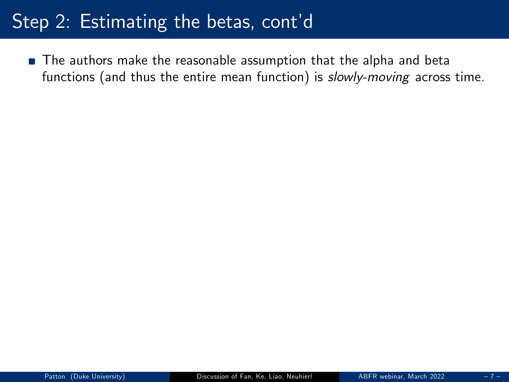The authors make the reasonable assumption that the alpha and beta functions (and thus the entire mean function) is slowly-moving across time.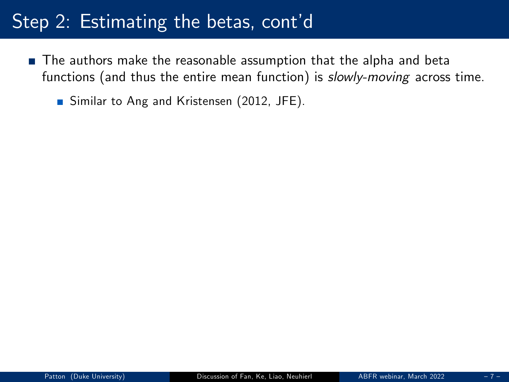- The authors make the reasonable assumption that the alpha and beta functions (and thus the entire mean function) is slowly-moving across time.
	- Similar to Ang and Kristensen (2012, JFE).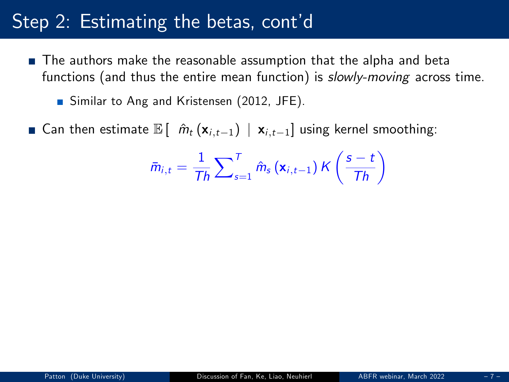- The authors make the reasonable assumption that the alpha and beta functions (and thus the entire mean function) is slowly-moving across time.
	- Similar to Ang and Kristensen (2012, JFE).
- Gen then estimate  $\mathbb{E} [\hat{m}_t (\mathbf{x}_{i,t-1}) | \mathbf{x}_{i,t-1}]$  using kernel smoothing:

$$
\bar{m}_{i,t} = \frac{1}{Th} \sum_{s=1}^{T} \hat{m}_s (\mathbf{x}_{i,t-1}) \, \mathcal{K} \left( \frac{s-t}{Th} \right)
$$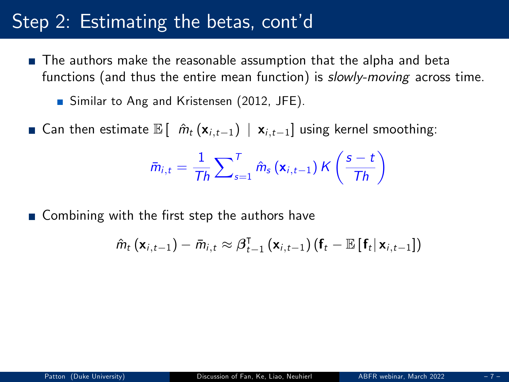- The authors make the reasonable assumption that the alpha and beta functions (and thus the entire mean function) is slowly-moving across time.
	- Similar to Ang and Kristensen (2012, JFE).
- Gan then estimate  $\mathbb{E} \left[ \hat{m}_t (\mathbf{x}_{i,t-1}) \mid \mathbf{x}_{i,t-1} \right]$  using kernel smoothing:

$$
\bar{m}_{i,t} = \frac{1}{Th} \sum_{s=1}^{T} \hat{m}_s (\mathbf{x}_{i,t-1}) \, \mathcal{K} \left( \frac{s-t}{Th} \right)
$$

 $\blacksquare$  Combining with the first step the authors have

$$
\hat{m}_t\left(\mathbf{x}_{i,t-1}\right)-\bar{m}_{i,t}\approx \boldsymbol{\beta}_{t-1}^{\intercal}\left(\mathbf{x}_{i,t-1}\right)\left(\mathbf{f}_t-\mathbb{E}\left[\left.\mathbf{f}_t\right|\mathbf{x}_{i,t-1}\right]\right)
$$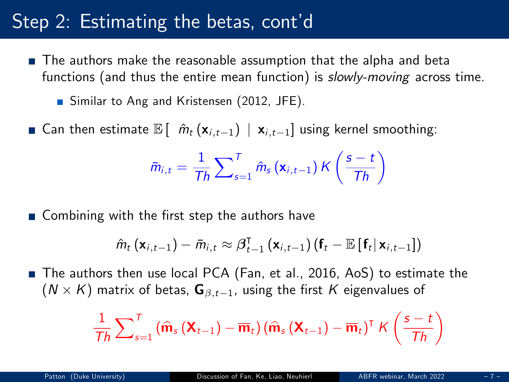- The authors make the reasonable assumption that the alpha and beta functions (and thus the entire mean function) is *slowly-moving* across time.
	- Similar to Ang and Kristensen (2012, JFE).
- Gan then estimate  $\mathbb{E} [\hat{m}_t (\mathbf{x}_{i,t-1}) | \mathbf{x}_{i,t-1}]$  using kernel smoothing:

$$
\bar{m}_{i,t} = \frac{1}{Th} \sum_{s=1}^{T} \hat{m}_s (\mathbf{x}_{i,t-1}) \, \mathcal{K} \left( \frac{s-t}{Th} \right)
$$

 $\blacksquare$  Combining with the first step the authors have

$$
\hat{m}_t(\mathbf{x}_{i,t-1}) - \bar{m}_{i,t} \approx \beta_{t-1}^{\mathsf{T}}(\mathbf{x}_{i,t-1}) (\mathbf{f}_t - \mathbb{E}[\mathbf{f}_t|\mathbf{x}_{i,t-1}])
$$

■ The authors then use local PCA (Fan, et al., 2016, AoS) to estimate the  $({\cal N}\times {\cal K})$  matrix of betas,  ${\bf G}_{\beta,t-1}$ , using the first  ${\cal K}$  eigenvalues of

$$
\frac{1}{\text{Th}}\sum\nolimits_{s=1}^{\text{T}}\left(\widehat{\textbf{m}}_{s}\left(\textbf{X}_{t-1}\right)-\overline{\textbf{m}}_{t}\right)\left(\widehat{\textbf{m}}_{s}\left(\textbf{X}_{t-1}\right)-\overline{\textbf{m}}_{t}\right)^{\text{T}}\text{K}\left(\frac{s-t}{\text{Th}}\right)
$$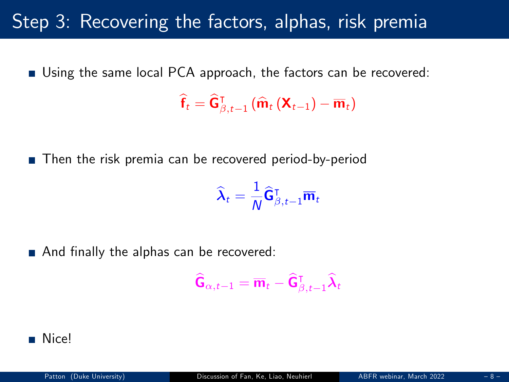### Step 3: Recovering the factors, alphas, risk premia

■ Using the same local PCA approach, the factors can be recovered:

 $\widehat{\mathbf{f}}_t = \widehat{\mathbf{G}}_{\beta,t-1}^{\intercal}(\widehat{\mathbf{m}}_t(\mathbf{X}_{t-1}) - \overline{\mathbf{m}}_t)$ 

■ Then the risk premia can be recovered period-by-period

$$
\widehat{\boldsymbol{\lambda}}_t = \frac{1}{N} \widehat{\mathsf{G}}_{\beta,t-1}^\intercal \overline{\mathsf{m}}_t
$$

And finally the alphas can be recovered:

$$
\widehat{\mathbf{G}}_{\alpha,t-1} = \overline{\mathbf{m}}_t - \widehat{\mathbf{G}}_{\beta,t-1}^{\intercal} \widehat{\boldsymbol{\lambda}}_t
$$

#### ■ Nice!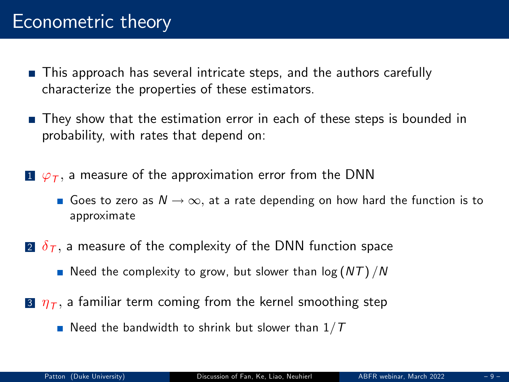### Econometric theory

- This approach has several intricate steps, and the authors carefully characterize the properties of these estimators.
- **They show that the estimation error in each of these steps is bounded in** probability, with rates that depend on:
- $1\;\overline{\varphi}_I,$  a measure of the approximation error from the DNN
	- Goes to zero as  $N \to \infty$ , at a rate depending on how hard the function is to approximate
- 2  $\delta$ <sub>T</sub>, a measure of the complexity of the DNN function space
	- Need the complexity to grow, but slower than  $log (NT)/N$
- $\overline{\boldsymbol{3}}$   $\eta_{\textcolor{black}{T}},$  a familiar term coming from the kernel smoothing step
	- Need the bandwidth to shrink but slower than  $1/T$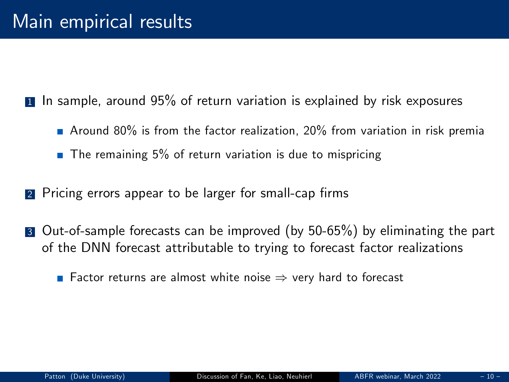1 In sample, around 95% of return variation is explained by risk exposures

- Around 80% is from the factor realization, 20% from variation in risk premia
- $\blacksquare$  The remaining 5% of return variation is due to mispricing
- 2 Pricing errors appear to be larger for small-cap firms
- **3** Out-of-sample forecasts can be improved (by 50-65%) by eliminating the part of the DNN forecast attributable to trying to forecast factor realizations

**Factor returns are almost white noise**  $\Rightarrow$  **very hard to forecast**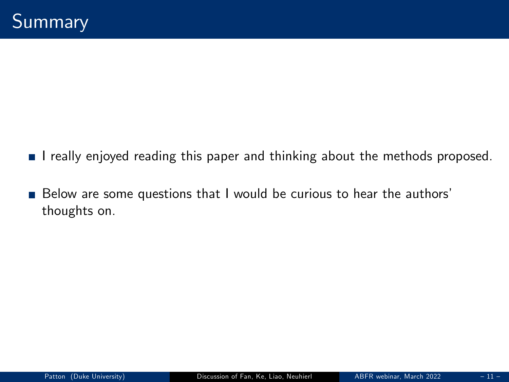- I really enjoyed reading this paper and thinking about the methods proposed.
- Below are some questions that I would be curious to hear the authors' thoughts on.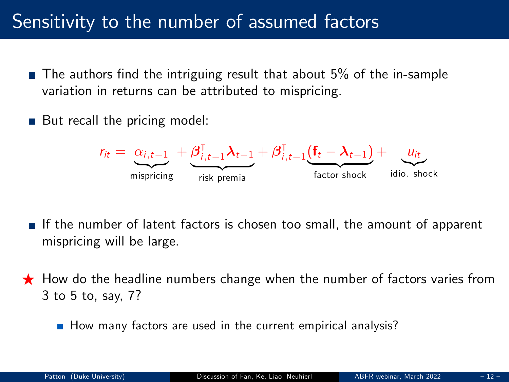## Sensitivity to the number of assumed factors

- $\blacksquare$  The authors find the intriguing result that about 5% of the in-sample variation in returns can be attributed to mispricing.
- But recall the pricing model:



- If the number of latent factors is chosen too small, the amount of apparent mispricing will be large.
- $\bigstar$  How do the headline numbers change when the number of factors varies from 3 to 5 to, say, 7?
	- $\blacksquare$  How many factors are used in the current empirical analysis?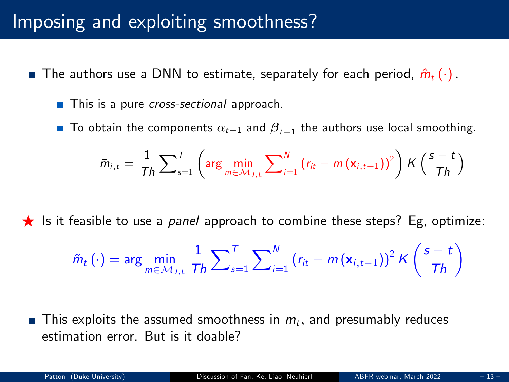### Imposing and exploiting smoothness?

- The authors use a DNN to estimate, separately for each period,  $\hat{m}_t (\cdot)$ .
	- This is a pure *cross-sectional* approach.
	- To obtain the components  $\alpha_{t-1}$  and  $\boldsymbol{\beta}_{t-1}$  the authors use local smoothing.

$$
\bar{m}_{i,t} = \frac{1}{Th} \sum_{s=1}^{T} \left( \arg \min_{m \in \mathcal{M}_{J,L}} \sum_{i=1}^{N} \left( r_{it} - m \left( \mathbf{x}_{i,t-1} \right) \right)^2 \right) K \left( \frac{s-t}{Th} \right)
$$

**F** Is it feasible to use a *panel* approach to combine these steps? Eg, optimize:

$$
\tilde{m}_t\left(\cdot\right) = \arg\min_{m \in \mathcal{M}_{J,L}} \frac{1}{Th} \sum\nolimits_{s=1}^T \sum\nolimits_{i=1}^N \left(r_{it} - m\left(\mathbf{x}_{i,t-1}\right)\right)^2 K\left(\frac{s-t}{Th}\right)
$$

This exploits the assumed smoothness in  $m_t$ , and presumably reduces estimation error. But is it doable?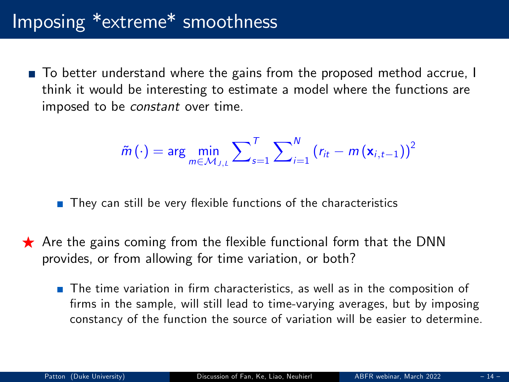# Imposing \*extreme\* smoothness

■ To better understand where the gains from the proposed method accrue, I think it would be interesting to estimate a model where the functions are imposed to be constant over time.

$$
\tilde{m}(\cdot) = \arg\min_{m \in \mathcal{M}_{J,L}} \sum_{s=1}^{T} \sum_{i=1}^{N} (r_{it} - m(\mathbf{x}_{i,t-1}))^2
$$

 $\blacksquare$  They can still be very flexible functions of the characteristics

- $\star$  Are the gains coming from the flexible functional form that the DNN provides, or from allowing for time variation, or both?
	- $\blacksquare$  The time variation in firm characteristics, as well as in the composition of firms in the sample, will still lead to time-varying averages, but by imposing constancy of the function the source of variation will be easier to determine.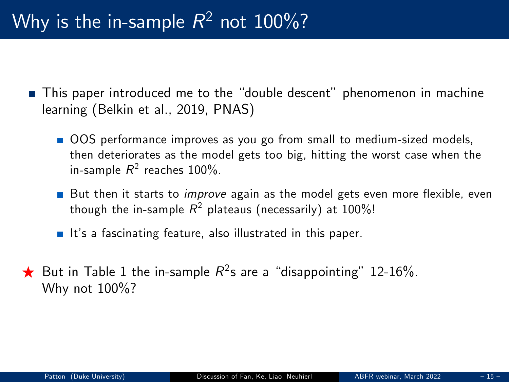- **This paper introduced me to the "double descent"** phenomenon in machine learning (Belkin et al., 2019, PNAS)
	- OOS performance improves as you go from small to medium-sized models, then deteriorates as the model gets too big, hitting the worst case when the in-sample  $R^2$  reaches 100%.
	- But then it starts to *improve* again as the model gets even more flexible, even though the in-sample  $\mathcal{R}^2$  plateaus (necessarily) at  $100\%$ !
	- It's a fascinating feature, also illustrated in this paper.
- $\bigstar$  But in Table 1 the in-sample  $R^2$ s are a "disappointing" 12-16%. Why not 100%?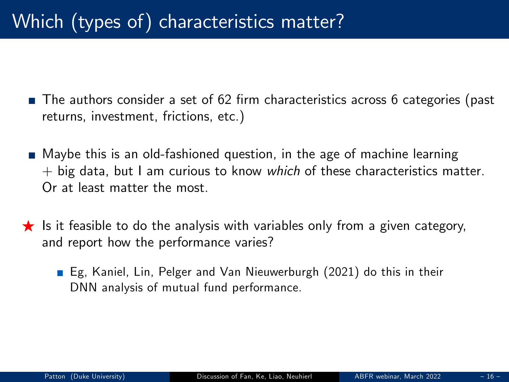- The authors consider a set of 62 firm characteristics across 6 categories (past returns, investment, frictions, etc.)
- Maybe this is an old-fashioned question, in the age of machine learning  $+$  big data, but I am curious to know which of these characteristics matter. Or at least matter the most.
- $\star$  Is it feasible to do the analysis with variables only from a given category, and report how the performance varies?
	- Eg, Kaniel, Lin, Pelger and Van Nieuwerburgh (2021) do this in their DNN analysis of mutual fund performance.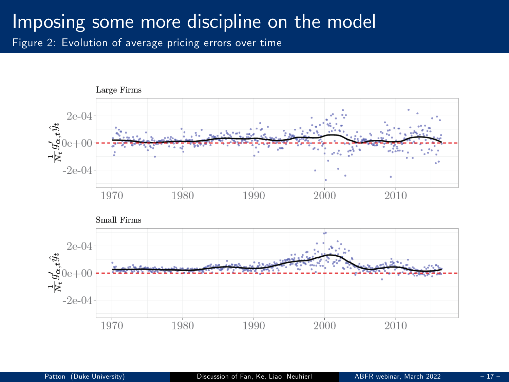### Imposing some more discipline on the model

Figure 2: Evolution of average pricing errors over time

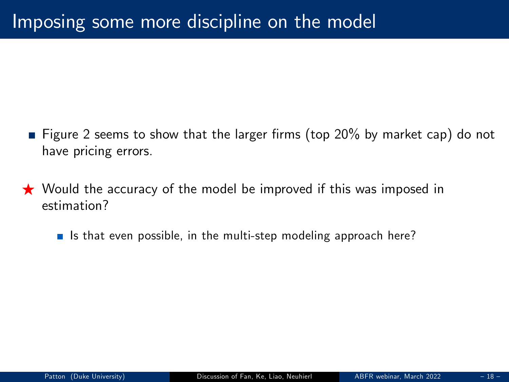- **Figure 2 seems to show that the larger firms (top 20% by market cap) do not** have pricing errors.
- $\star$  Would the accuracy of the model be improved if this was imposed in estimation?
	- If Is that even possible, in the multi-step modeling approach here?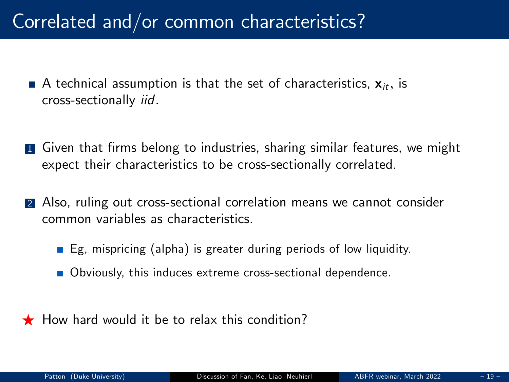# Correlated and/or common characteristics?

- A technical assumption is that the set of characteristics,  $\mathbf{x}_{it}$ , is cross-sectionally iid:
- **1** Given that firms belong to industries, sharing similar features, we might expect their characteristics to be cross-sectionally correlated.
- 2 Also, ruling out cross-sectional correlation means we cannot consider common variables as characteristics.
	- $\blacksquare$  Eg, mispricing (alpha) is greater during periods of low liquidity.
	- Obviously, this induces extreme cross-sectional dependence.
- $\bigstar$  How hard would it be to relax this condition?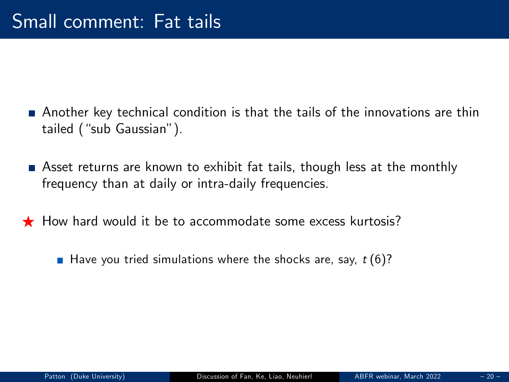- Another key technical condition is that the tails of the innovations are thin tailed ("sub Gaussian").
- Asset returns are known to exhibit fat tails, though less at the monthly frequency than at daily or intra-daily frequencies.
- $\bigstar$  How hard would it be to accommodate some excess kurtosis?
	- Have you tried simulations where the shocks are, say,  $t(6)$ ?